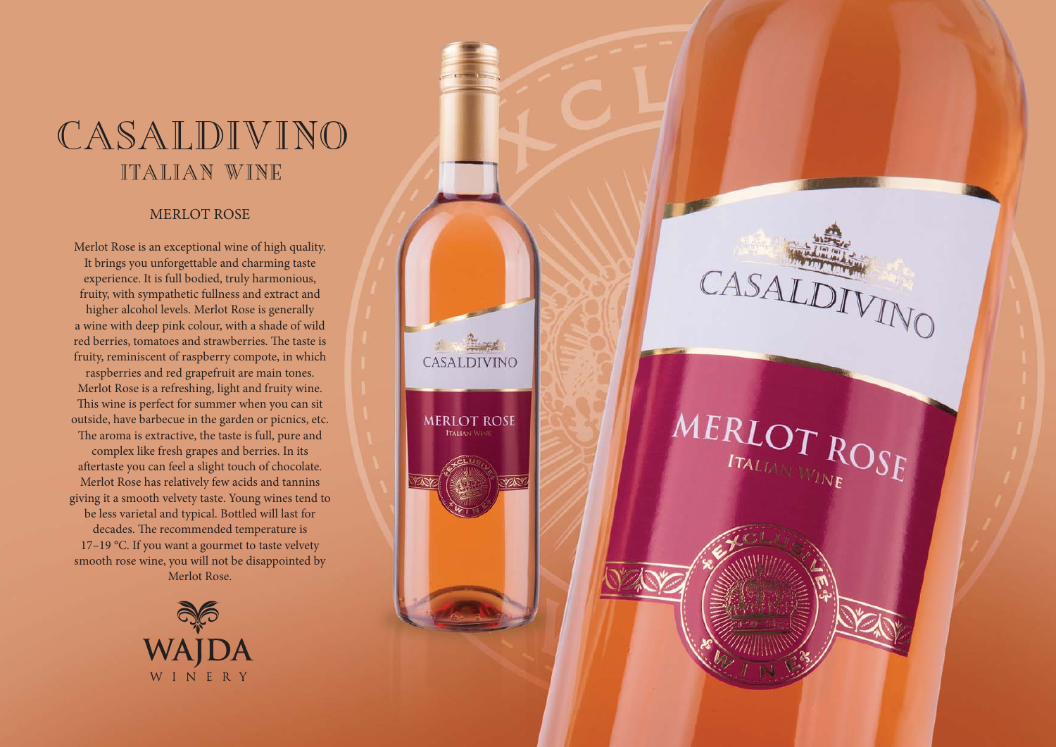## CASALDIVINO ITALIAN WINE

## MERLOT ROSE

Merlot Rose is an exceptional wine of high quality. It brings you unforgettable and charming taste experience. It is full bodied, truly harmonious, fruity, with sympathetic fullness and extract and higher alcohol levels. Merlot Rose is generally a wine with deep pink colour, with a shade of wild red berries, tomatoes and strawberries. The taste is fruity, reminiscent of raspberry compote, in which

CASALDIVINO

**MERLOT ROSE ITALIAN WIN** 

**YA** 

CASALDIVINO

MERLOT ROSE

raspberries and red grapefruit are main tones. Merlot Rose is a refreshing, light and fruity wine. This wine is perfect for summer when you can sit outside, have barbecue in the garden or picnics, etc. The aroma is extractive, the taste is full, pure and complex like fresh grapes and berries. In its aftertaste you can feel a slight touch of chocolate. Merlot Rose has relatively few acids and tannins giving it a smooth velvety taste. Young wines tend to be less varietal and typical. Bottled will last for decades. The recommended temperature is 17-19 °C. If you want a gourmet to taste velvety smooth rose wine, you will not be disappointed by Merlot Rose.